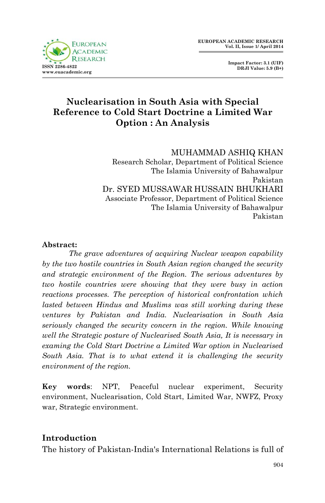

 **Impact Factor: 3.1 (UIF) DRJI Value: 5.9 (B+)**

# **Nuclearisation in South Asia with Special Reference to Cold Start Doctrine a Limited War Option : An Analysis**

#### MUHAMMAD ASHIQ KHAN

Research Scholar, Department of Political Science The Islamia University of Bahawalpur Pakistan Dr. SYED MUSSAWAR HUSSAIN BHUKHARI Associate Professor, Department of Political Science The Islamia University of Bahawalpur Pakistan

#### **Abstract:**

*The grave adventures of acquiring Nuclear weapon capability by the two hostile countries in South Asian region changed the security and strategic environment of the Region. The serious adventures by two hostile countries were showing that they were busy in action reactions processes. The perception of historical confrontation which lasted between Hindus and Muslims was still working during these ventures by Pakistan and India. Nuclearisation in South Asia seriously changed the security concern in the region. While knowing well the Strategic posture of Nuclearised South Asia, It is necessary in examing the Cold Start Doctrine a Limited War option in Nuclearised South Asia. That is to what extend it is challenging the security environment of the region.* 

**Key words**: NPT, Peaceful nuclear experiment, Security environment, Nuclearisation, Cold Start, Limited War, NWFZ, Proxy war, Strategic environment.

### **Introduction**

The history of Pakistan-India's International Relations is full of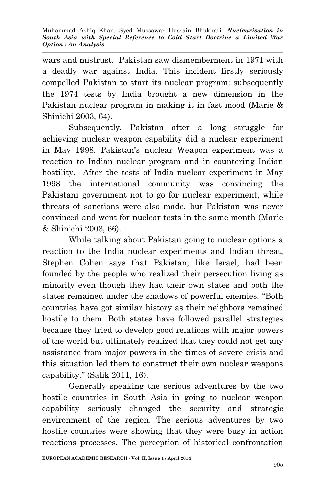wars and mistrust. Pakistan saw dismemberment in 1971 with a deadly war against India. This incident firstly seriously compelled Pakistan to start its nuclear program; subsequently the 1974 tests by India brought a new dimension in the Pakistan nuclear program in making it in fast mood (Marie & Shinichi 2003, 64).

Subsequently, Pakistan after a long struggle for achieving nuclear weapon capability did a nuclear experiment in May 1998. Pakistan's nuclear Weapon experiment was a reaction to Indian nuclear program and in countering Indian hostility. After the tests of India nuclear experiment in May 1998 the international community was convincing the Pakistani government not to go for nuclear experiment, while threats of sanctions were also made, but Pakistan was never convinced and went for nuclear tests in the same month (Marie & Shinichi 2003, 66).

While talking about Pakistan going to nuclear options a reaction to the India nuclear experiments and Indian threat, Stephen Cohen says that Pakistan, like Israel, had been founded by the people who realized their persecution living as minority even though they had their own states and both the states remained under the shadows of powerful enemies. "Both countries have got similar history as their neighbors remained hostile to them. Both states have followed parallel strategies because they tried to develop good relations with major powers of the world but ultimately realized that they could not get any assistance from major powers in the times of severe crisis and this situation led them to construct their own nuclear weapons capability." (Salik 2011, 16).

Generally speaking the serious adventures by the two hostile countries in South Asia in going to nuclear weapon capability seriously changed the security and strategic environment of the region. The serious adventures by two hostile countries were showing that they were busy in action reactions processes. The perception of historical confrontation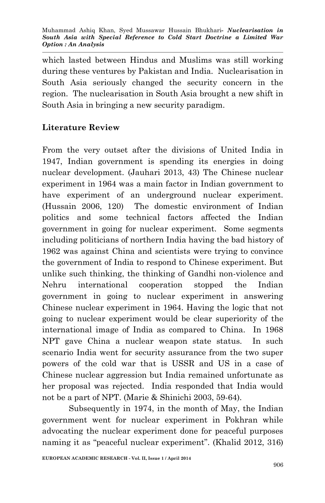which lasted between Hindus and Muslims was still working during these ventures by Pakistan and India. Nuclearisation in South Asia seriously changed the security concern in the region. The nuclearisation in South Asia brought a new shift in South Asia in bringing a new security paradigm.

## **Literature Review**

From the very outset after the divisions of United India in 1947, Indian government is spending its energies in doing nuclear development. (Jauhari 2013, 43) The Chinese nuclear experiment in 1964 was a main factor in Indian government to have experiment of an underground nuclear experiment. (Hussain 2006, 120) The domestic environment of Indian politics and some technical factors affected the Indian government in going for nuclear experiment. Some segments including politicians of northern India having the bad history of 1962 was against China and scientists were trying to convince the government of India to respond to Chinese experiment. But unlike such thinking, the thinking of Gandhi non-violence and Nehru international cooperation stopped the Indian government in going to nuclear experiment in answering Chinese nuclear experiment in 1964. Having the logic that not going to nuclear experiment would be clear superiority of the international image of India as compared to China. In 1968 NPT gave China a nuclear weapon state status. In such scenario India went for security assurance from the two super powers of the cold war that is USSR and US in a case of Chinese nuclear aggression but India remained unfortunate as her proposal was rejected. India responded that India would not be a part of NPT. (Marie & Shinichi 2003, 59-64).

Subsequently in 1974, in the month of May, the Indian government went for nuclear experiment in Pokhran while advocating the nuclear experiment done for peaceful purposes naming it as "peaceful nuclear experiment". (Khalid 2012, 316)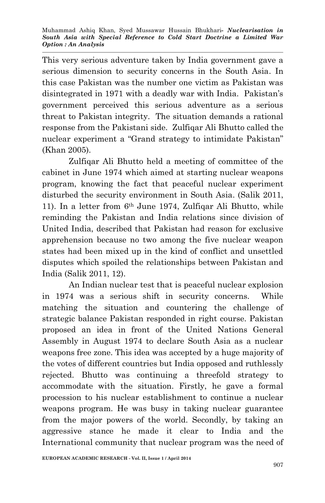This very serious adventure taken by India government gave a serious dimension to security concerns in the South Asia. In this case Pakistan was the number one victim as Pakistan was disintegrated in 1971 with a deadly war with India. Pakistan's government perceived this serious adventure as a serious threat to Pakistan integrity. The situation demands a rational response from the Pakistani side. Zulfiqar Ali Bhutto called the nuclear experiment a "Grand strategy to intimidate Pakistan" (Khan 2005).

Zulfiqar Ali Bhutto held a meeting of committee of the cabinet in June 1974 which aimed at starting nuclear weapons program, knowing the fact that peaceful nuclear experiment disturbed the security environment in South Asia. (Salik 2011, 11). In a letter from 6th June 1974, Zulfiqar Ali Bhutto, while reminding the Pakistan and India relations since division of United India, described that Pakistan had reason for exclusive apprehension because no two among the five nuclear weapon states had been mixed up in the kind of conflict and unsettled disputes which spoiled the relationships between Pakistan and India (Salik 2011, 12).

An Indian nuclear test that is peaceful nuclear explosion in 1974 was a serious shift in security concerns. While matching the situation and countering the challenge of strategic balance Pakistan responded in right course. Pakistan proposed an idea in front of the United Nations General Assembly in August 1974 to declare South Asia as a nuclear weapons free zone. This idea was accepted by a huge majority of the votes of different countries but India opposed and ruthlessly rejected. Bhutto was continuing a threefold strategy to accommodate with the situation. Firstly, he gave a formal procession to his nuclear establishment to continue a nuclear weapons program. He was busy in taking nuclear guarantee from the major powers of the world. Secondly, by taking an aggressive stance he made it clear to India and the International community that nuclear program was the need of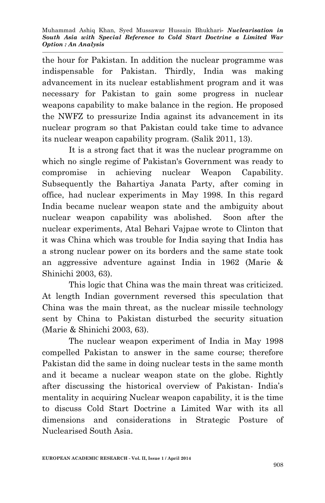the hour for Pakistan. In addition the nuclear programme was indispensable for Pakistan. Thirdly, India was making advancement in its nuclear establishment program and it was necessary for Pakistan to gain some progress in nuclear weapons capability to make balance in the region. He proposed the NWFZ to pressurize India against its advancement in its nuclear program so that Pakistan could take time to advance its nuclear weapon capability program. (Salik 2011, 13).

It is a strong fact that it was the nuclear programme on which no single regime of Pakistan's Government was ready to compromise in achieving nuclear Weapon Capability. Subsequently the Bahartiya Janata Party, after coming in office, had nuclear experiments in May 1998. In this regard India became nuclear weapon state and the ambiguity about nuclear weapon capability was abolished. Soon after the nuclear experiments, Atal Behari Vajpae wrote to Clinton that it was China which was trouble for India saying that India has a strong nuclear power on its borders and the same state took an aggressive adventure against India in 1962 (Marie & Shinichi 2003, 63).

This logic that China was the main threat was criticized. At length Indian government reversed this speculation that China was the main threat, as the nuclear missile technology sent by China to Pakistan disturbed the security situation (Marie & Shinichi 2003, 63).

The nuclear weapon experiment of India in May 1998 compelled Pakistan to answer in the same course; therefore Pakistan did the same in doing nuclear tests in the same month and it became a nuclear weapon state on the globe. Rightly after discussing the historical overview of Pakistan- India's mentality in acquiring Nuclear weapon capability, it is the time to discuss Cold Start Doctrine a Limited War with its all dimensions and considerations in Strategic Posture of Nuclearised South Asia.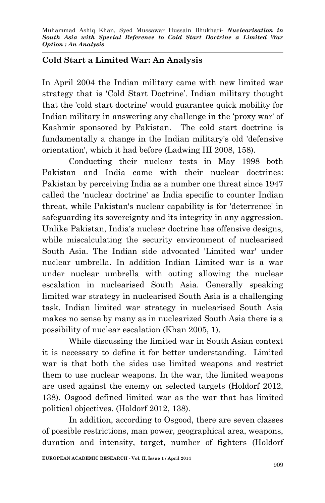## **Cold Start a Limited War: An Analysis**

In April 2004 the Indian military came with new limited war strategy that is 'Cold Start Doctrine'. Indian military thought that the 'cold start doctrine' would guarantee quick mobility for Indian military in answering any challenge in the 'proxy war' of Kashmir sponsored by Pakistan. The cold start doctrine is fundamentally a change in the Indian military's old 'defensive orientation', which it had before (Ladwing III 2008, 158).

Conducting their nuclear tests in May 1998 both Pakistan and India came with their nuclear doctrines: Pakistan by perceiving India as a number one threat since 1947 called the 'nuclear doctrine' as India specific to counter Indian threat, while Pakistan's nuclear capability is for 'deterrence' in safeguarding its sovereignty and its integrity in any aggression. Unlike Pakistan, India's nuclear doctrine has offensive designs, while miscalculating the security environment of nuclearised South Asia. The Indian side advocated 'Limited war' under nuclear umbrella. In addition Indian Limited war is a war under nuclear umbrella with outing allowing the nuclear escalation in nuclearised South Asia. Generally speaking limited war strategy in nuclearised South Asia is a challenging task. Indian limited war strategy in nuclearised South Asia makes no sense by many as in nuclearized South Asia there is a possibility of nuclear escalation (Khan 2005, 1).

While discussing the limited war in South Asian context it is necessary to define it for better understanding. Limited war is that both the sides use limited weapons and restrict them to use nuclear weapons. In the war, the limited weapons are used against the enemy on selected targets (Holdorf 2012, 138). Osgood defined limited war as the war that has limited political objectives. (Holdorf 2012, 138).

In addition, according to Osgood, there are seven classes of possible restrictions, man power, geographical area, weapons, duration and intensity, target, number of fighters (Holdorf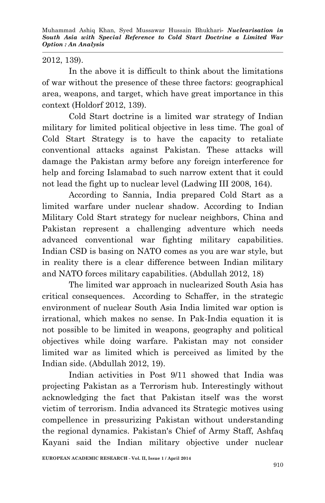Muhammad Ashiq Khan, Syed Mussawar Hussain Bhukhari*- Nuclearisation in South Asia with Special Reference to Cold Start Doctrine a Limited War Option : An Analysis*

#### 2012, 139).

In the above it is difficult to think about the limitations of war without the presence of these three factors: geographical area, weapons, and target, which have great importance in this context (Holdorf 2012, 139).

Cold Start doctrine is a limited war strategy of Indian military for limited political objective in less time. The goal of Cold Start Strategy is to have the capacity to retaliate conventional attacks against Pakistan. These attacks will damage the Pakistan army before any foreign interference for help and forcing Islamabad to such narrow extent that it could not lead the fight up to nuclear level (Ladwing III 2008, 164).

According to Sannia, India prepared Cold Start as a limited warfare under nuclear shadow. According to Indian Military Cold Start strategy for nuclear neighbors, China and Pakistan represent a challenging adventure which needs advanced conventional war fighting military capabilities. Indian CSD is basing on NATO comes as you are war style, but in reality there is a clear difference between Indian military and NATO forces military capabilities. (Abdullah 2012, 18)

The limited war approach in nuclearized South Asia has critical consequences. According to Schaffer, in the strategic environment of nuclear South Asia India limited war option is irrational, which makes no sense. In Pak-India equation it is not possible to be limited in weapons, geography and political objectives while doing warfare. Pakistan may not consider limited war as limited which is perceived as limited by the Indian side. (Abdullah 2012, 19).

Indian activities in Post 9/11 showed that India was projecting Pakistan as a Terrorism hub. Interestingly without acknowledging the fact that Pakistan itself was the worst victim of terrorism. India advanced its Strategic motives using compellence in pressurizing Pakistan without understanding the regional dynamics. Pakistan's Chief of Army Staff, Ashfaq Kayani said the Indian military objective under nuclear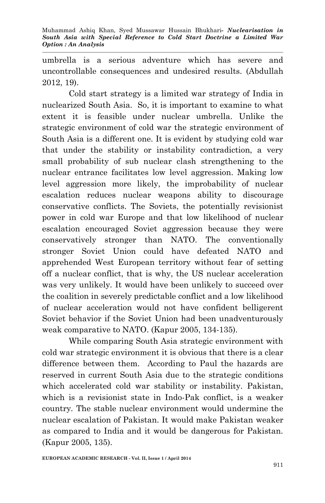umbrella is a serious adventure which has severe and uncontrollable consequences and undesired results. (Abdullah 2012, 19).

Cold start strategy is a limited war strategy of India in nuclearized South Asia. So, it is important to examine to what extent it is feasible under nuclear umbrella. Unlike the strategic environment of cold war the strategic environment of South Asia is a different one. It is evident by studying cold war that under the stability or instability contradiction, a very small probability of sub nuclear clash strengthening to the nuclear entrance facilitates low level aggression. Making low level aggression more likely, the improbability of nuclear escalation reduces nuclear weapons ability to discourage conservative conflicts. The Soviets, the potentially revisionist power in cold war Europe and that low likelihood of nuclear escalation encouraged Soviet aggression because they were conservatively stronger than NATO. The conventionally stronger Soviet Union could have defeated NATO and apprehended West European territory without fear of setting off a nuclear conflict, that is why, the US nuclear acceleration was very unlikely. It would have been unlikely to succeed over the coalition in severely predictable conflict and a low likelihood of nuclear acceleration would not have confident belligerent Soviet behavior if the Soviet Union had been unadventurously weak comparative to NATO. (Kapur 2005, 134-135).

While comparing South Asia strategic environment with cold war strategic environment it is obvious that there is a clear difference between them. According to Paul the hazards are reserved in current South Asia due to the strategic conditions which accelerated cold war stability or instability. Pakistan, which is a revisionist state in Indo-Pak conflict, is a weaker country*.* The stable nuclear environment would undermine the nuclear escalation of Pakistan. It would make Pakistan weaker as compared to India and it would be dangerous for Pakistan. (Kapur 2005, 135).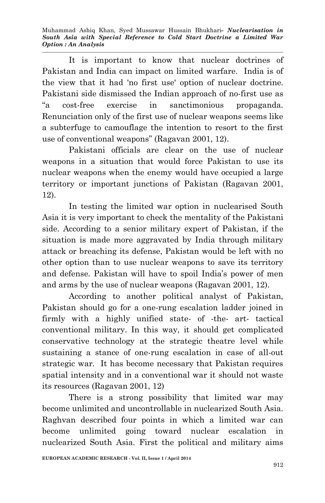Muhammad Ashiq Khan, Syed Mussawar Hussain Bhukhari*- Nuclearisation in South Asia with Special Reference to Cold Start Doctrine a Limited War Option : An Analysis*

It is important to know that nuclear doctrines of Pakistan and India can impact on limited warfare. India is of the view that it had 'no first use' option of nuclear doctrine. Pakistani side dismissed the Indian approach of no-first use as "a cost-free exercise in sanctimonious propaganda. Renunciation only of the first use of nuclear weapons seems like a subterfuge to camouflage the intention to resort to the first use of conventional weapons" (Ragavan 2001, 12).

Pakistani officials are clear on the use of nuclear weapons in a situation that would force Pakistan to use its nuclear weapons when the enemy would have occupied a large territory or important junctions of Pakistan (Ragavan 2001, 12).

In testing the limited war option in nuclearised South Asia it is very important to check the mentality of the Pakistani side. According to a senior military expert of Pakistan, if the situation is made more aggravated by India through military attack or breaching its defense, Pakistan would be left with no other option than to use nuclear weapons to save its territory and defense. Pakistan will have to spoil India's power of men and arms by the use of nuclear weapons (Ragavan 2001, 12).

According to another political analyst of Pakistan, Pakistan should go for a one-rung escalation ladder joined in firmly with a highly unified state- of -the- art- tactical conventional military. In this way, it should get complicated conservative technology at the strategic theatre level while sustaining a stance of one-rung escalation in case of all-out strategic war. It has become necessary that Pakistan requires spatial intensity and in a conventional war it should not waste its resources (Ragavan 2001, 12)

There is a strong possibility that limited war may become unlimited and uncontrollable in nuclearized South Asia. Raghvan described four points in which a limited war can become unlimited going toward nuclear escalation in nuclearized South Asia. First the political and military aims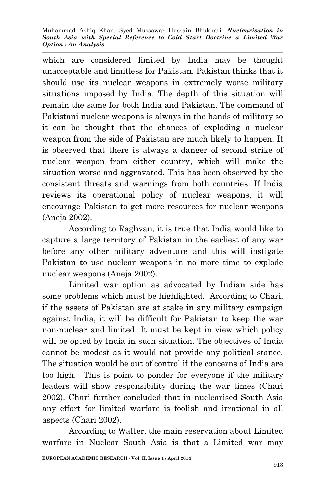which are considered limited by India may be thought unacceptable and limitless for Pakistan. Pakistan thinks that it should use its nuclear weapons in extremely worse military situations imposed by India. The depth of this situation will remain the same for both India and Pakistan. The command of Pakistani nuclear weapons is always in the hands of military so it can be thought that the chances of exploding a nuclear weapon from the side of Pakistan are much likely to happen. It is observed that there is always a danger of second strike of nuclear weapon from either country, which will make the situation worse and aggravated. This has been observed by the consistent threats and warnings from both countries. If India reviews its operational policy of nuclear weapons, it will encourage Pakistan to get more resources for nuclear weapons (Aneja 2002).

According to Raghvan, it is true that India would like to capture a large territory of Pakistan in the earliest of any war before any other military adventure and this will instigate Pakistan to use nuclear weapons in no more time to explode nuclear weapons (Aneja 2002).

Limited war option as advocated by Indian side has some problems which must be highlighted. According to Chari, if the assets of Pakistan are at stake in any military campaign against India, it will be difficult for Pakistan to keep the war non-nuclear and limited. It must be kept in view which policy will be opted by India in such situation. The objectives of India cannot be modest as it would not provide any political stance. The situation would be out of control if the concerns of India are too high. This is point to ponder for everyone if the military leaders will show responsibility during the war times (Chari 2002). Chari further concluded that in nuclearised South Asia any effort for limited warfare is foolish and irrational in all aspects (Chari 2002).

According to Walter, the main reservation about Limited warfare in Nuclear South Asia is that a Limited war may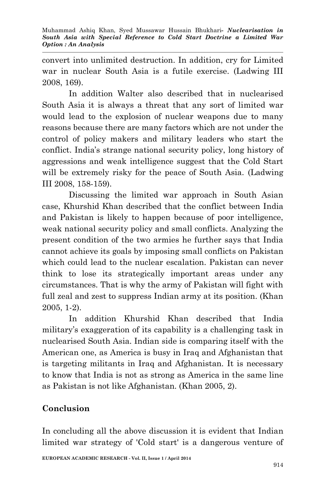convert into unlimited destruction. In addition, cry for Limited war in nuclear South Asia is a futile exercise. (Ladwing III 2008, 169).

In addition Walter also described that in nuclearised South Asia it is always a threat that any sort of limited war would lead to the explosion of nuclear weapons due to many reasons because there are many factors which are not under the control of policy makers and military leaders who start the conflict. India's strange national security policy, long history of aggressions and weak intelligence suggest that the Cold Start will be extremely risky for the peace of South Asia. (Ladwing III 2008, 158-159).

Discussing the limited war approach in South Asian case, Khurshid Khan described that the conflict between India and Pakistan is likely to happen because of poor intelligence, weak national security policy and small conflicts. Analyzing the present condition of the two armies he further says that India cannot achieve its goals by imposing small conflicts on Pakistan which could lead to the nuclear escalation. Pakistan can never think to lose its strategically important areas under any circumstances. That is why the army of Pakistan will fight with full zeal and zest to suppress Indian army at its position. (Khan 2005, 1-2).

In addition Khurshid Khan described that India military's exaggeration of its capability is a challenging task in nuclearised South Asia. Indian side is comparing itself with the American one, as America is busy in Iraq and Afghanistan that is targeting militants in Iraq and Afghanistan. It is necessary to know that India is not as strong as America in the same line as Pakistan is not like Afghanistan. (Khan 2005, 2).

# **Conclusion**

In concluding all the above discussion it is evident that Indian limited war strategy of 'Cold start' is a dangerous venture of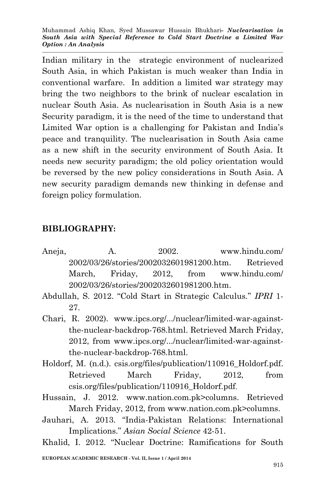Muhammad Ashiq Khan, Syed Mussawar Hussain Bhukhari*- Nuclearisation in South Asia with Special Reference to Cold Start Doctrine a Limited War Option : An Analysis*

Indian military in the strategic environment of nuclearized South Asia, in which Pakistan is much weaker than India in conventional warfare. In addition a limited war strategy may bring the two neighbors to the brink of nuclear escalation in nuclear South Asia. As nuclearisation in South Asia is a new Security paradigm, it is the need of the time to understand that Limited War option is a challenging for Pakistan and India's peace and tranquility. The nuclearisation in South Asia came as a new shift in the security environment of South Asia. It needs new security paradigm; the old policy orientation would be reversed by the new policy considerations in South Asia. A new security paradigm demands new thinking in defense and foreign policy formulation.

### **BIBLIOGRAPHY:**

Aneja, A. 2002. www.hindu.com/ 2002/03/26/stories/2002032601981200.htm. Retrieved March, Friday, 2012, from www.hindu.com/ 2002/03/26/stories/2002032601981200.htm.

Abdullah, S. 2012. "Cold Start in Strategic Calculus." *IPRI* 1- 27.

Chari, R. 2002). www.ipcs.org/.../nuclear/limited-war-againstthe-nuclear-backdrop-768.html. Retrieved March Friday, 2012, from www.ipcs.org/.../nuclear/limited-war-againstthe-nuclear-backdrop-768.html.

- Holdorf, M. (n.d.). csis.org/files/publication/110916\_Holdorf.pdf. Retrieved March Friday, 2012, from csis.org/files/publication/110916\_Holdorf.pdf.
- Hussain, J. 2012. www.nation.com.pk>columns. Retrieved March Friday, 2012, from www.nation.com.pk>columns.
- Jauhari, A. 2013. "India-Pakistan Relations: International Implications." *Asian Social Science* 42-51.

Khalid, I. 2012. "Nuclear Doctrine: Ramifications for South